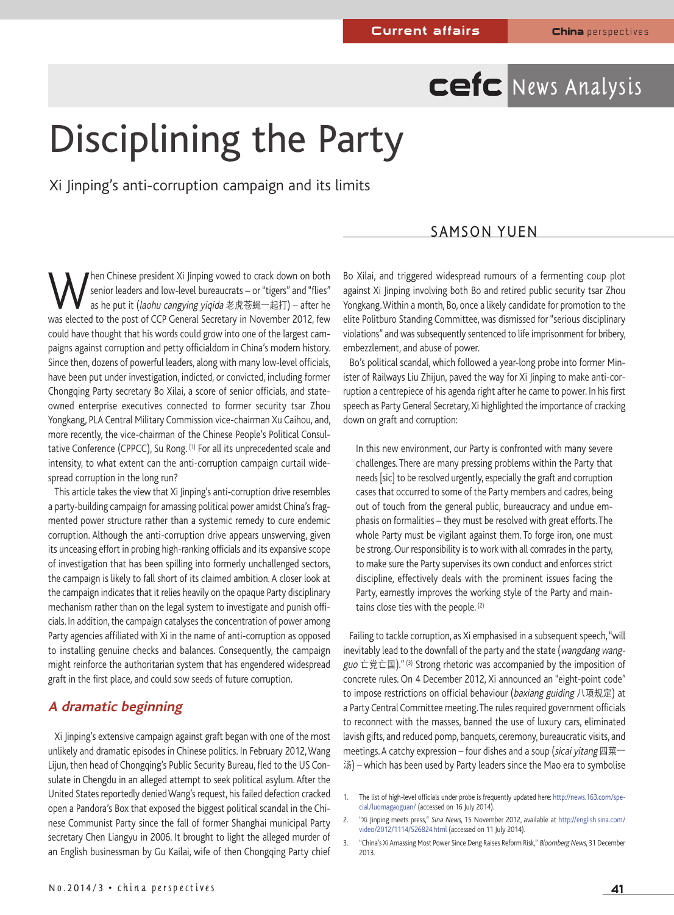# **cefc** News Analysis

# Disciplining the Party

Xi Jinping's anti-corruption campaign and its limits

# SAMSON YUEN

Men Chinese president Xi Jinping vowed to crack down on both<br>as he put it (*laohu cangying yiqida* 老虎苍蝇一起打) – after he<br>was elected to the post of CCP Ceneral Secretary in November 2012 fow senior leaders and low-level bureaucrats — or "tigers" and "flies" as he put it (laohu cangying yiqida 老虎苍蝇一起打) – after he was elected to the post of CCP General Secretary in November 2012, few could have thought that his words could grow into one of the largest campaigns against corruption and petty officialdom in China's modern history. Since then, dozens of powerful leaders, along with many low-level officials, have been put under investigation, indicted, or convicted, including former Chongqing Party secretary Bo Xilai, a score of senior officials, and stateowned enterprise executives connected to former security tsar Zhou Yongkang, PLA Central Military Commission vice-chairman Xu Caihou, and, more recently, the vice-chairman of the Chinese People's Political Consultative Conference (CPPCC), Su Rong. (1) For all its unprecedented scale and intensity, to what extent can the anti-corruption campaign curtail widespread corruption in the long run?

This article takes the view that Xi Jinping's anti-corruption drive resembles a party-building campaign for amassing political power amidst China's fragmented power structure rather than a systemic remedy to cure endemic corruption. Although the anti-corruption drive appears unswerving, given its unceasing effort in probing high-ranking officials and its expansive scope of investigation that has been spilling into formerly unchallenged sectors, the campaign is likely to fall short of its claimed ambition. A closer look at the campaign indicates that it relies heavily on the opaque Party disciplinary mechanism rather than on the legal system to investigate and punish officials. In addition, the campaign catalyses the concentration of power among Party agencies affiliated with Xi in the name of anti-corruption as opposed to installing genuine checks and balances. Consequently, the campaign might reinforce the authoritarian system that has engendered widespread graft in the first place, and could sow seeds of future corruption.

### **A dramatic beginning**

Xi Jinping's extensive campaign against graft began with one of the most unlikely and dramatic episodes in Chinese politics. In February 2012,Wang Lijun, then head of Chongqing's Public Security Bureau, fled to the US Consulate in Chengdu in an alleged attempt to seek political asylum. After the United States reportedly deniedWang's request, his failed defection cracked open a Pandora's Box that exposed the biggest political scandal in the Chinese Communist Party since the fall of former Shanghai municipal Party secretary Chen Liangyu in 2006. It brought to light the alleged murder of an English businessman by Gu Kailai, wife of then Chongqing Party chief Bo Xilai, and triggered widespread rumours of a fermenting coup plot against Xi Jinping involving both Bo and retired public security tsar Zhou Yongkang.Within a month, Bo, once a likely candidate for promotion to the elite Politburo Standing Committee, was dismissed for"serious disciplinary violations" and was subsequently sentenced to life imprisonment for bribery, embezzlement, and abuse of power.

Bo's political scandal, which followed a year-long probe into former Minister of Railways Liu Zhijun, paved the way for Xi Jinping to make anti-corruption a centrepiece of his agenda right after he came to power. In his first speech as Party General Secretary, Xi highlighted the importance of cracking down on graft and corruption:

In this new environment, our Party is confronted with many severe challenges. There are many pressing problems within the Party that needs [sic] to be resolved urgently, especially the graft and corruption cases that occurred to some of the Party members and cadres, being out of touch from the general public, bureaucracy and undue emphasis on formalities – they must be resolved with great efforts.The whole Party must be vigilant against them. To forge iron, one must be strong.Our responsibility is to work with all comrades in the party, to make sure the Party supervises its own conduct and enforces strict discipline, effectively deals with the prominent issues facing the Party, earnestly improves the working style of the Party and maintains close ties with the people. (2)

Failing to tackle corruption, as Xi emphasised in a subsequent speech, "will inevitably lead to the downfall of the party and the state (wangdang wangguo 亡党亡国)."<sup>(3)</sup> Strong rhetoric was accompanied by the imposition of concrete rules. On 4 December 2012, Xi announced an "eight-point code" to impose restrictions on official behaviour (baxiang guiding 八项规定) at a Party Central Committee meeting.The rules required government officials to reconnect with the masses, banned the use of luxury cars, eliminated lavish gifts, and reduced pomp, banquets, ceremony, bureaucratic visits, and meetings. A catchy expression – four dishes and a soup (sicai yitang 四菜一 汤) – which has been used by Party leaders since the Mao era to symbolise

The list of high-level officials under probe is frequently updated here: http://news.163.com/special/luomagaoguan/ (accessed on 16 July 2014).

<sup>2.</sup> "Xi Jinping meets press," Sina News, 15 November 2012, available at http://english.sina.com/ video/2012/1114/526824.html (accessed on 11 July 2014).

<sup>3. &</sup>quot;China's Xi Amassing Most Power Since Deng Raises Reform Risk," Bloomberg News, 31 December 2013.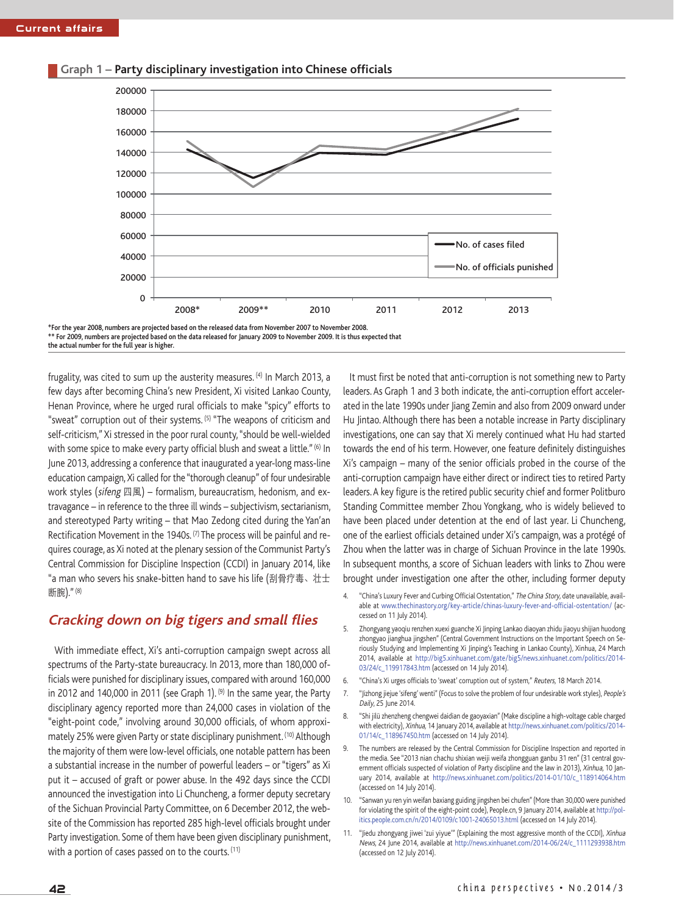

**Graph 1 – Party disciplinary investigation into Chinese officials**

\*\* For 2009, numbers are projected based on the data released for January 2009 to November 2009. It is thus expected that<br>the actual number for the full year is higher.

frugality, was cited to sum up the austerity measures. (4) In March 2013, a few days after becoming China's new President, Xi visited Lankao County, Henan Province, where he urged rural officials to make "spicy" efforts to "sweat" corruption out of their systems. (5) "The weapons of criticism and self-criticism," Xi stressed in the poor rural county,"should be well-wielded with some spice to make every party official blush and sweat a little." (6) In June 2013, addressing a conference that inaugurated a year-long mass-line education campaign, Xi called for the "thorough cleanup" of four undesirable work styles (sifeng 四風) – formalism, bureaucratism, hedonism, and extravagance – in reference to the three ill winds – subjectivism, sectarianism, and stereotyped Party writing – that Mao Zedong cited during the Yan'an Rectification Movement in the 1940s. (7) The process will be painful and requires courage, as Xi noted at the plenary session of the Communist Party's Central Commission for Discipline Inspection (CCDI) in January 2014, like "a man who severs his snake-bitten hand to save his life (刮骨疗毒、壮士 断腕)."(8)

# **Cracking down on big tigers and small flies**

With immediate effect, Xi's anti-corruption campaign swept across all spectrums of the Party-state bureaucracy. In 2013, more than 180,000 officials were punished for disciplinary issues, compared with around 160,000 in 2012 and 140,000 in 2011 (see Graph 1).  $(9)$  In the same year, the Party disciplinary agency reported more than 24,000 cases in violation of the "eight-point code," involving around 30,000 officials, of whom approximately 25% were given Party or state disciplinary punishment. (10) Although the majority of them were low-level officials, one notable pattern has been a substantial increase in the number of powerful leaders - or "tigers" as Xi put it – accused of graft or power abuse. In the 492 days since the CCDI announced the investigation into Li Chuncheng, a former deputy secretary of the Sichuan Provincial Party Committee, on 6 December 2012, the website of the Commission has reported 285 high-level officials brought under Party investigation. Some of them have been given disciplinary punishment, with a portion of cases passed on to the courts. (11)

It must first be noted that anti-corruption is not something new to Party leaders. As Graph 1 and 3 both indicate, the anti-corruption effort accelerated in the late 1990s under Jiang Zemin and also from 2009 onward under Hu Jintao. Although there has been a notable increase in Party disciplinary investigations, one can say that Xi merely continued what Hu had started towards the end of his term. However, one feature definitely distinguishes Xi's campaign – many of the senior officials probed in the course of the anti-corruption campaign have either direct or indirect ties to retired Party leaders.A key figure is the retired public security chief and former Politburo Standing Committee member Zhou Yongkang, who is widely believed to have been placed under detention at the end of last year. Li Chuncheng, one of the earliest officials detained under Xi's campaign, was a protégé of Zhou when the latter was in charge of Sichuan Province in the late 1990s. In subsequent months, a score of Sichuan leaders with links to Zhou were brought under investigation one after the other, including former deputy

- 4. "China's Luxury Fever and Curbing Official Ostentation," The China Story, date unavailable, available at www.thechinastory.org/key-article/chinas-luxury-fever-and-official-ostentation/ (accessed on 11 July 2014).
- 5. Zhongyang yaoqiu renzhen xuexi guanche Xi Jinping Lankao diaoyan zhidu jiaoyu shijian huodong zhongyao jianghua jingshen" (Central Government Instructions on the Important Speech on Seriously Studying and Implementing Xi Jinping's Teaching in Lankao County), Xinhua, 24 March 2014, available at http://big5.xinhuanet.com/gate/big5/news.xinhuanet.com/politics/2014- 03/24/c\_119917843.htm (accessed on 14 July 2014).
- 6. "China's Xi urges officials to 'sweat' corruption out of system," Reuters, 18 March 2014.
- 7. "Jizhong jiejue 'sifeng'wenti"(Focus to solve the problem of four undesirable work styles), People's Daily, 25 June 2014.
- 8. "Shi jilü zhenzheng chengwei daidian de gaoyaxian"(Make discipline a high-voltage cable charged with electricity), Xinhua, 14 January 2014, available at http://news.xinhuanet.com/politics/2014- 01/14/c\_118967450.htm (accessed on 14 July 2014).
- 9. The numbers are released by the Central Commission for Discipline Inspection and reported in the media. See "2013 nian chachu shixian weiji weifa zhongguan ganbu 31 ren" (31 central government officials suspected of violation of Party discipline and the law in 2013), Xinhua, 10 January 2014, available at http://news.xinhuanet.com/politics/2014-01/10/c\_118914064.htm (accessed on 14 July 2014).
- 10. "Sanwan yu ren yin weifan baxiang guiding jingshen bei chufen"(More than 30,000 were punished for violating the spirit of the eight-point code), People.cn, 9 January 2014, available at http://politics.people.com.cn/n/2014/0109/c1001-24065013.html (accessed on 14 July 2014).
- 11. "Jiedu zhongyang jiwei 'zui yiyue'" (Explaining the most aggressive month of the CCDI), Xinhua News, 24 June 2014, available at http://news.xinhuanet.com/2014-06/24/c\_1111293938.htm (accessed on 12 July 2014).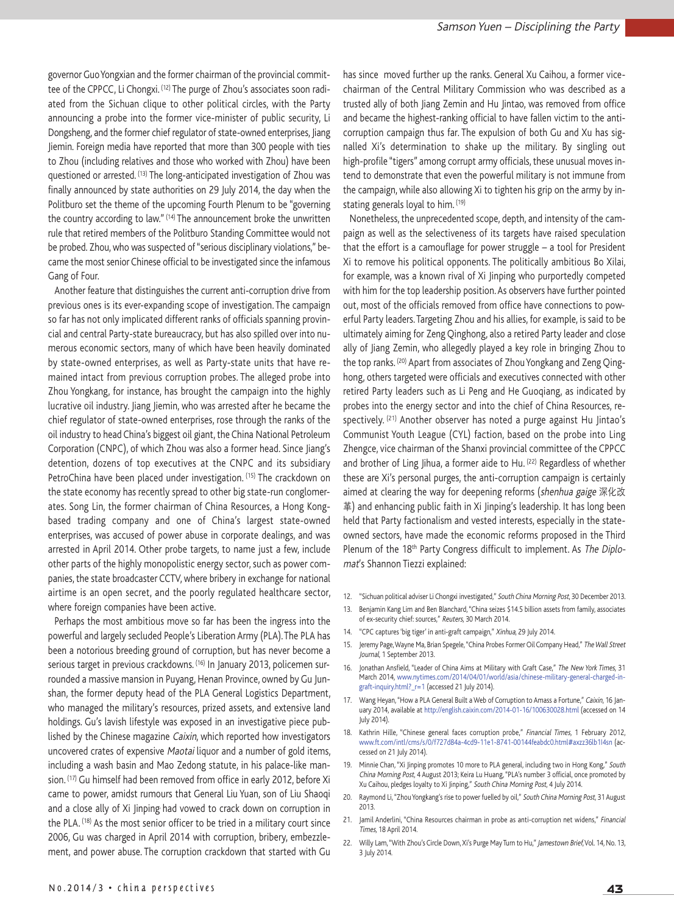governor Guo Yongxian and the former chairman of the provincial committee of the CPPCC, Li Chongxi. (12) The purge of Zhou's associates soon radiated from the Sichuan clique to other political circles, with the Party announcing a probe into the former vice-minister of public security, Li Dongsheng, and the former chief regulator of state-owned enterprises, Jiang Jiemin. Foreign media have reported that more than 300 people with ties to Zhou (including relatives and those who worked with Zhou) have been questioned or arrested. (13) The long-anticipated investigation of Zhou was finally announced by state authorities on 29 July 2014, the day when the Politburo set the theme of the upcoming Fourth Plenum to be "governing the country according to law." (14) The announcement broke the unwritten rule that retired members of the Politburo Standing Committee would not be probed. Zhou, who was suspected of"serious disciplinary violations," became the most senior Chinese official to be investigated since the infamous Gang of Four.

Another feature that distinguishes the current anti-corruption drive from previous ones is its ever-expanding scope of investigation. The campaign so far has not only implicated different ranks of officials spanning provincial and central Party-state bureaucracy, but has also spilled over into numerous economic sectors, many of which have been heavily dominated by state-owned enterprises, as well as Party-state units that have remained intact from previous corruption probes. The alleged probe into Zhou Yongkang, for instance, has brought the campaign into the highly lucrative oil industry. Jiang Jiemin, who was arrested after he became the chief regulator of state-owned enterprises, rose through the ranks of the oil industry to head China's biggest oil giant, the China National Petroleum Corporation (CNPC), of which Zhou was also a former head. Since Jiang's detention, dozens of top executives at the CNPC and its subsidiary PetroChina have been placed under investigation. (15) The crackdown on the state economy has recently spread to other big state-run conglomerates. Song Lin, the former chairman of China Resources, a Hong Kongbased trading company and one of China's largest state-owned enterprises, was accused of power abuse in corporate dealings, and was arrested in April 2014. Other probe targets, to name just a few, include other parts of the highly monopolistic energy sector, such as power companies, the state broadcaster CCTV, where bribery in exchange for national airtime is an open secret, and the poorly regulated healthcare sector, where foreign companies have been active.

Perhaps the most ambitious move so far has been the ingress into the powerful and largely secluded People's Liberation Army (PLA).The PLA has been a notorious breeding ground of corruption, but has never become a serious target in previous crackdowns. (16) In January 2013, policemen surrounded a massive mansion in Puyang, Henan Province, owned by Gu Junshan, the former deputy head of the PLA General Logistics Department, who managed the military's resources, prized assets, and extensive land holdings. Gu's lavish lifestyle was exposed in an investigative piece published by the Chinese magazine Caixin, which reported how investigators uncovered crates of expensive Maotai liquor and a number of gold items, including a wash basin and Mao Zedong statute, in his palace-like mansion. (17) Gu himself had been removed from office in early 2012, before Xi came to power, amidst rumours that General Liu Yuan, son of Liu Shaoqi and a close ally of Xi Jinping had vowed to crack down on corruption in the PLA. (18) As the most senior officer to be tried in a military court since 2006, Gu was charged in April 2014 with corruption, bribery, embezzlement, and power abuse. The corruption crackdown that started with Gu has since moved further up the ranks. General Xu Caihou, a former vicechairman of the Central Military Commission who was described as a trusted ally of both Jiang Zemin and Hu Jintao, was removed from office and became the highest-ranking official to have fallen victim to the anticorruption campaign thus far. The expulsion of both Gu and Xu has signalled Xi's determination to shake up the military. By singling out high-profile "tigers" among corrupt army officials, these unusual moves intend to demonstrate that even the powerful military is not immune from the campaign, while also allowing Xi to tighten his grip on the army by instating generals loyal to him. (19)

Nonetheless, the unprecedented scope, depth, and intensity of the campaign as well as the selectiveness of its targets have raised speculation that the effort is a camouflage for power struggle – a tool for President Xi to remove his political opponents. The politically ambitious Bo Xilai, for example, was a known rival of Xi Jinping who purportedly competed with him for the top leadership position. As observers have further pointed out, most of the officials removed from office have connections to powerful Party leaders.Targeting Zhou and his allies, for example, is said to be ultimately aiming for Zeng Qinghong, also a retired Party leader and close ally of Jiang Zemin, who allegedly played a key role in bringing Zhou to the top ranks. <sup>(20)</sup> Apart from associates of Zhou Yongkang and Zeng Qinghong, others targeted were officials and executives connected with other retired Party leaders such as Li Peng and He Guoqiang, as indicated by probes into the energy sector and into the chief of China Resources, respectively. (21) Another observer has noted a purge against Hu Jintao's Communist Youth League (CYL) faction, based on the probe into Ling Zhengce, vice chairman of the Shanxi provincial committee of the CPPCC and brother of Ling Jihua, a former aide to Hu. <sup>(22)</sup> Regardless of whether these are Xi's personal purges, the anti-corruption campaign is certainly aimed at clearing the way for deepening reforms (shenhua gaige 深化改 革) and enhancing public faith in Xi Jinping's leadership. It has long been held that Party factionalism and vested interests, especially in the stateowned sectors, have made the economic reforms proposed in the Third Plenum of the 18<sup>th</sup> Party Congress difficult to implement. As The Diplomat's Shannon Tiezzi explained:

- 12. "Sichuan political adviser Li Chongxi investigated," South China Morning Post, 30 December 2013.
- 13. Benjamin Kang Lim and Ben Blanchard,"China seizes \$14.5 billion assets from family, associates of ex-security chief: sources," Reuters, 30 March 2014.
- 14. "CPC captures'big tiger' in anti-graft campaign," Xinhua, 29 July 2014.
- 15. Jeremy Page, Wayne Ma, Brian Spegele, "China Probes Former Oil Company Head," The Wall Street Journal, 1 September 2013.
- 16. Jonathan Ansfield, "Leader of China Aims at Military with Graft Case," The New York Times, 31 March 2014, www.nytimes.com/2014/04/01/world/asia/chinese-military-general-charged-ingraft-inquiry.html?\_r=1 (accessed 21 July 2014).
- 17. Wang Heyan, "How a PLA General Built a Web of Corruption to Amass a Fortune," Caixin, 16 January 2014, available at http://english.caixin.com/2014-01-16/100630028.html (accessed on 14 July 2014).
- 18. Kathrin Hille, "Chinese general faces corruption probe," Financial Times, 1 February 2012, www.ft.com/intl/cms/s/0/f727d84a-4cd9-11e1-8741-00144feabdc0.html#axzz36lb1I4sn (accessed on 21 July 2014).
- 19. Minnie Chan, "Xi Jinping promotes 10 more to PLA general, including two in Hong Kong," South China Morning Post, 4 August 2013; Keira Lu Huang,"PLA's number 3 official, once promoted by Xu Caihou, pledges loyalty to Xi Jinping," South China Morning Post, 4 July 2014.
- 20. Raymond Li, "Zhou Yongkang's rise to power fuelled by oil," South China Morning Post, 31 August 2013.
- 21. Jamil Anderlini, "China Resources chairman in probe as anti-corruption net widens," Financial Times, 18 April 2014.
- 22. Willy Lam, "With Zhou's Circle Down, Xi's Purge May Turn to Hu," Jamestown Brief, Vol. 14, No. 13, 3 July 2014.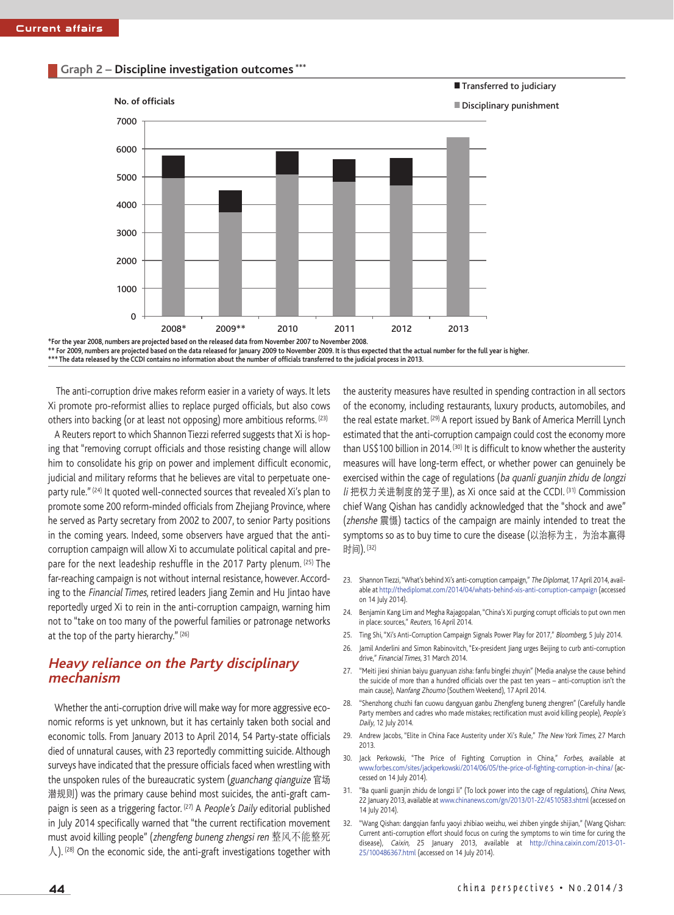

#### **Graph 2 – Discipline investigation outcomes \*\*\***

\*For the year 2008, numbers are projected based on the released data from November 2007 to November 2008. \*\* For 2009, numbers are projected based on the data released for January 2009 to November 2009. It is thus expected that the actual number for the full year is higher. \*\*\* The data released by the CCDI contains no information about the number of officials transferred to the judicial process in 2013.

The anti-corruption drive makes reform easier in a variety of ways. It lets Xi promote pro-reformist allies to replace purged officials, but also cows others into backing (or at least not opposing) more ambitious reforms. (23)

A Reuters report to which Shannon Tiezzi referred suggests that Xi is hoping that "removing corrupt officials and those resisting change will allow him to consolidate his grip on power and implement difficult economic, judicial and military reforms that he believes are vital to perpetuate oneparty rule." (24) It quoted well-connected sources that revealed Xi's plan to promote some 200 reform-minded officials from Zhejiang Province, where he served as Party secretary from 2002 to 2007, to senior Party positions in the coming years. Indeed, some observers have argued that the anticorruption campaign will allow Xi to accumulate political capital and prepare for the next leadeship reshuffle in the 2017 Party plenum. (25) The far-reaching campaign is not without internal resistance, however.According to the Financial Times, retired leaders Jiang Zemin and Hu Jintao have reportedly urged Xi to rein in the anti-corruption campaign, warning him not to "take on too many of the powerful families or patronage networks at the top of the party hierarchy."(26)

# **Heavy reliance on the Party disciplinary mechanism**

Whether the anti-corruption drive will make way for more aggressive economic reforms is yet unknown, but it has certainly taken both social and economic tolls. From January 2013 to April 2014, 54 Party-state officials died of unnatural causes, with 23 reportedly committing suicide. Although surveys have indicated that the pressure officials faced when wrestling with the unspoken rules of the bureaucratic system (guanchang qianguize 官场 潜规则) was the primary cause behind most suicides, the anti-graft campaign is seen as a triggering factor. <sup>(27)</sup> A People's Daily editorial published in July 2014 specifically warned that "the current rectification movement must avoid killing people" (zhengfeng buneng zhengsi ren 整风不能整死  $\lambda$ ). (28) On the economic side, the anti-graft investigations together with

the austerity measures have resulted in spending contraction in all sectors of the economy, including restaurants, luxury products, automobiles, and the real estate market. <sup>(29)</sup> A report issued by Bank of America Merrill Lynch estimated that the anti-corruption campaign could cost the economy more than US\$100 billion in 2014.<sup>(30)</sup> It is difficult to know whether the austerity measures will have long-term effect, or whether power can genuinely be exercised within the cage of regulations (ba quanli guanjin zhidu de longzi li 把权力关进制度的笼子里), as Xi once said at the CCDI. (31) Commission chief Wang Qishan has candidly acknowledged that the "shock and awe" (zhenshe 震慑) tactics of the campaign are mainly intended to treat the symptoms so as to buy time to cure the disease (以治标为主, 为治本赢得 时间). (32)

**Transferred to judiciary** 

- 23. Shannon Tiezzi, "What's behind Xi's anti-corruption campaign," The Diplomat, 17 April 2014, available at http://thediplomat.com/2014/04/whats-behind-xis-anti-corruption-campaign (accessed on 14 July 2014).
- 24. Benjamin Kang Lim and Megha Rajagopalan,"China's Xi purging corrupt officials to put own men in place: sources," Reuters, 16 April 2014.
- 25. Ting Shi,"Xi's Anti-Corruption Campaign Signals Power Play for 2017," Bloomberg, 5 July 2014.
- 26. Jamil Anderlini and Simon Rabinovitch,"Ex-president Jiang urges Beijing to curb anti-corruption drive," Financial Times, 31 March 2014.
- 27. "Meiti jiexi shinian baiyu guanyuan zisha: fanfu bingfei zhuyin" (Media analyse the cause behind the suicide of more than a hundred officials over the past ten years – anti-corruption isn't the main cause), Nanfang Zhoumo (Southern Weekend), 17 April 2014.
- 28. "Shenzhong chuzhi fan cuowu dangyuan ganbu Zhengfeng buneng zhengren" (Carefully handle Party members and cadres who made mistakes; rectification must avoid killing people), People's Daily, 12 July 2014.
- 29. Andrew Jacobs, "Elite in China Face Austerity under Xi's Rule," The New York Times, 27 March 2013.
- 30. Jack Perkowski, "The Price of Fighting Corruption in China," Forbes, available at www.forbes.com/sites/jackperkowski/2014/06/05/the-price-of-fighting-corruption-in-china/ (accessed on 14 July 2014).
- 31. "Ba quanli guanjin zhidu de longzi li" (To lock power into the cage of regulations), China News, 22 January 2013, available at www.chinanews.com/gn/2013/01-22/4510583.shtml (accessed on 14 July 2014).
- 32. "Wang Qishan: dangqian fanfu yaoyi zhibiao weizhu, wei zhiben yingde shijian," (Wang Qishan: Current anti-corruption effort should focus on curing the symptoms to win time for curing the disease), Caixin, 25 January 2013, available at http://china.caixin.com/2013-01- 25/100486367.html (accessed on 14 July 2014).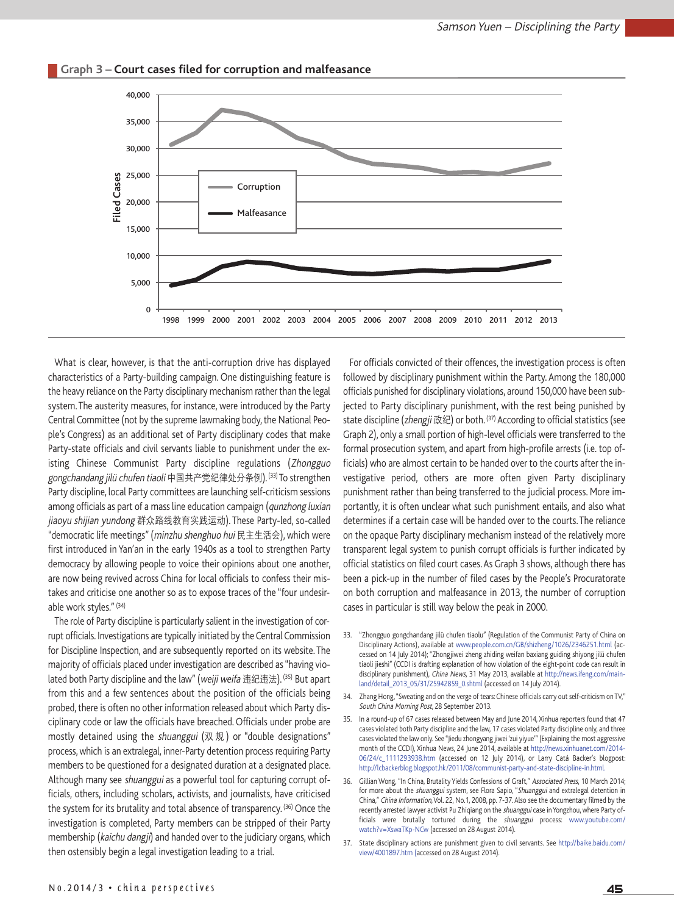

#### **Graph 3 – Court cases filed for corruption and malfeasance**

What is clear, however, is that the anti-corruption drive has displayed characteristics of a Party-building campaign. One distinguishing feature is the heavy reliance on the Party disciplinary mechanism rather than the legal system.The austerity measures, for instance, were introduced by the Party Central Committee (not by the supreme lawmaking body, the National People's Congress) as an additional set of Party disciplinary codes that make Party-state officials and civil servants liable to punishment under the existing Chinese Communist Party discipline regulations (Zhongguo gongchandang jilü chufen tiaoli 中国共产党纪律处分条例). (33)To strengthen Party discipline, local Party committees are launching self-criticism sessions among officials as part of a mass line education campaign (qunzhong luxian jiaoyu shijian yundong 群众路线教育实践运动). These Party-led, so-called "democratic life meetings"(minzhu shenghuo hui 民主生活会), which were first introduced in Yan'an in the early 1940s as a tool to strengthen Party democracy by allowing people to voice their opinions about one another, are now being revived across China for local officials to confess their mistakes and criticise one another so as to expose traces of the "four undesirable work styles." (34)

The role of Party discipline is particularly salient in the investigation of corrupt officials. Investigations are typically initiated by the Central Commission for Discipline Inspection, and are subsequently reported on its website. The majority of officials placed under investigation are described as"having violated both Party discipline and the law" (weiji weifa 违纪违法). <sup>(35)</sup> But apart from this and a few sentences about the position of the officials being probed, there is often no other information released about which Party disciplinary code or law the officials have breached. Officials under probe are mostly detained using the shuanggui (双规) or "double designations" process,which is an extralegal, inner-Party detention process requiring Party members to be questioned for a designated duration at a designated place. Although many see shuanggui as a powerful tool for capturing corrupt officials, others, including scholars, activists, and journalists, have criticised the system for its brutality and total absence of transparency. (36) Once the investigation is completed, Party members can be stripped of their Party membership (kaichu dangji) and handed over to the judiciary organs, which then ostensibly begin a legal investigation leading to a trial.

For officials convicted of their offences, the investigation process is often followed by disciplinary punishment within the Party. Among the 180,000 officials punished for disciplinary violations, around 150,000 have been subjected to Party disciplinary punishment, with the rest being punished by state discipline (zhengji政纪) or both. <sup>(37)</sup> According to official statistics (see Graph 2), only a small portion of high-level officials were transferred to the formal prosecution system, and apart from high-profile arrests (i.e. top officials) who are almost certain to be handed over to the courts after the investigative period, others are more often given Party disciplinary punishment rather than being transferred to the judicial process. More importantly, it is often unclear what such punishment entails, and also what determines if a certain case will be handed over to the courts.The reliance on the opaque Party disciplinary mechanism instead of the relatively more transparent legal system to punish corrupt officials is further indicated by official statistics on filed court cases.As Graph 3 shows, although there has been a pick-up in the number of filed cases by the People's Procuratorate on both corruption and malfeasance in 2013, the number of corruption cases in particular is still way below the peak in 2000.

- 33. "Zhongguo gongchandang jilü chufen tiaolu" (Regulation of the Communist Party of China on Disciplinary Actions), available at www.people.com.cn/GB/shizheng/1026/2346251.html (accessed on 14 July 2014);"Zhongjiwei zheng zhiding weifan baxiang guiding shiyong jilü chufen tiaoli jieshi" (CCDI is drafting explanation of how violation of the eight-point code can result in disciplinary punishment), China News, 31 May 2013, available at http://news.ifeng.com/mainland/detail\_2013\_05/31/25942859\_0.shtml (accessed on 14 July 2014).
- 34. Zhang Hong,"Sweating and on the verge of tears:Chinese officials carry out self-criticism on TV," South China Morning Post, 28 September 2013.
- 35. In a round-up of 67 cases released between May and June 2014, Xinhua reporters found that 47 cases violated both Party discipline and the law, 17 cases violated Party discipline only, and three cases violated the law only. See "Jiedu zhongyang jiwei 'zui yiyue'"(Explaining the most aggressive month of the CCDI), Xinhua News, 24 June 2014, available at http://news.xinhuanet.com/2014- 06/24/c\_1111293938.htm (accessed on 12 July 2014), or Larry Catá Backer's blogpost: http://lcbackerblog.blogspot.hk/2011/08/communist-party-and-state-discipline-in.html.
- 36. Gillian Wong, "In China, Brutality Yields Confessions of Graft," Associated Press, 10 March 2014; for more about the shuanggui system, see Flora Sapio, "Shuanggui and extralegal detention in China," China Information,Vol. 22, No.1, 2008, pp. 7-37.Also see the documentary filmed by the recently arrested lawyer activist Pu Zhiqiang on the shuanggui case in Yongzhou, where Party officials were brutally tortured during the shuanggui process: www.youtube.com/ watch?v=XswaTKp-NCw (accessed on 28 August 2014).
- 37. State disciplinary actions are punishment given to civil servants. See http://baike.baidu.com/ view/4001897.htm (accessed on 28 August 2014).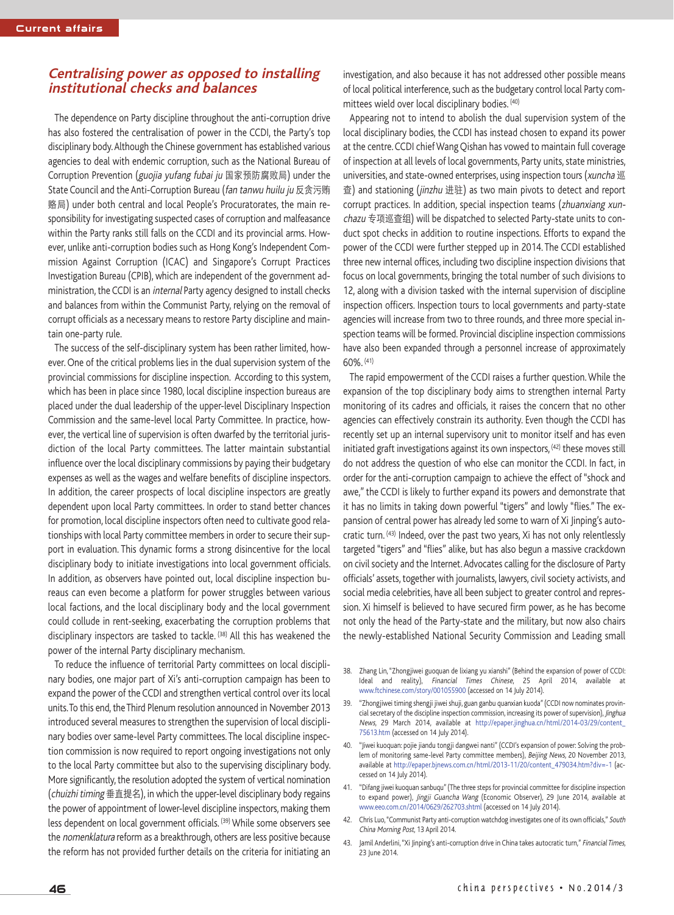## **Centralising power as opposed to installing institutional checks and balances**

The dependence on Party discipline throughout the anti-corruption drive has also fostered the centralisation of power in the CCDI, the Party's top disciplinary body.Although the Chinese government has established various agencies to deal with endemic corruption, such as the National Bureau of Corruption Prevention (guojia yufang fubai ju 国家预防腐败局) under the State Council and the Anti-Corruption Bureau (fan tanwu huilu ju 反贪污贿 赂局) under both central and local People's Procuratorates, the main responsibility for investigating suspected cases of corruption and malfeasance within the Party ranks still falls on the CCDI and its provincial arms. However, unlike anti-corruption bodies such as Hong Kong's Independent Commission Against Corruption (ICAC) and Singapore's Corrupt Practices Investigation Bureau (CPIB), which are independent of the government administration, the CCDI is an internal Party agency designed to install checks and balances from within the Communist Party, relying on the removal of corrupt officials as a necessary means to restore Party discipline and maintain one-party rule.

The success of the self-disciplinary system has been rather limited, however. One of the critical problems lies in the dual supervision system of the provincial commissions for discipline inspection. According to this system, which has been in place since 1980, local discipline inspection bureaus are placed under the dual leadership of the upper-level Disciplinary Inspection Commission and the same-level local Party Committee. In practice, however, the vertical line of supervision is often dwarfed by the territorial jurisdiction of the local Party committees. The latter maintain substantial influence over the local disciplinary commissions by paying their budgetary expenses as well as the wages and welfare benefits of discipline inspectors. In addition, the career prospects of local discipline inspectors are greatly dependent upon local Party committees. In order to stand better chances for promotion, local discipline inspectors often need to cultivate good relationships with local Party committee members in order to secure their support in evaluation. This dynamic forms a strong disincentive for the local disciplinary body to initiate investigations into local government officials. In addition, as observers have pointed out, local discipline inspection bureaus can even become a platform for power struggles between various local factions, and the local disciplinary body and the local government could collude in rent-seeking, exacerbating the corruption problems that disciplinary inspectors are tasked to tackle. (38) All this has weakened the power of the internal Party disciplinary mechanism.

To reduce the influence of territorial Party committees on local disciplinary bodies, one major part of Xi's anti-corruption campaign has been to expand the power of the CCDI and strengthen vertical control over its local units. To this end, the Third Plenum resolution announced in November 2013 introduced several measures to strengthen the supervision of local disciplinary bodies over same-level Party committees.The local discipline inspection commission is now required to report ongoing investigations not only to the local Party committee but also to the supervising disciplinary body. More significantly, the resolution adopted the system of vertical nomination (chuizhi timing 垂直提名), in which the upper-level disciplinary body regains the power of appointment of lower-level discipline inspectors, making them less dependent on local government officials. (39) While some observers see the nomenklatura reform as a breakthrough, others are less positive because the reform has not provided further details on the criteria for initiating an

investigation, and also because it has not addressed other possible means of local political interference, such as the budgetary control local Party committees wield over local disciplinary bodies. (40)

Appearing not to intend to abolish the dual supervision system of the local disciplinary bodies, the CCDI has instead chosen to expand its power at the centre.CCDI chiefWang Qishan has vowed to maintain full coverage of inspection at all levels of local governments, Party units, state ministries, universities, and state-owned enterprises, using inspection tours (xuncha 巡 查) and stationing (jinzhu 进驻) as two main pivots to detect and report corrupt practices. In addition, special inspection teams (zhuanxiang xunchazu 专项巡查组) will be dispatched to selected Party-state units to conduct spot checks in addition to routine inspections. Efforts to expand the power of the CCDI were further stepped up in 2014. The CCDI established three new internal offices, including two discipline inspection divisions that focus on local governments, bringing the total number of such divisions to 12, along with a division tasked with the internal supervision of discipline inspection officers. Inspection tours to local governments and party-state agencies will increase from two to three rounds, and three more special inspection teams will be formed. Provincial discipline inspection commissions have also been expanded through a personnel increase of approximately 60%. (41)

The rapid empowerment of the CCDI raises a further question.While the expansion of the top disciplinary body aims to strengthen internal Party monitoring of its cadres and officials, it raises the concern that no other agencies can effectively constrain its authority. Even though the CCDI has recently set up an internal supervisory unit to monitor itself and has even initiated graft investigations against its own inspectors, <sup>(42)</sup> these moves still do not address the question of who else can monitor the CCDI. In fact, in order for the anti-corruption campaign to achieve the effect of"shock and awe," the CCDI is likely to further expand its powers and demonstrate that it has no limits in taking down powerful "tigers" and lowly "flies." The expansion of central power has already led some to warn of Xi Jinping's autocratic turn. (43) Indeed, over the past two years, Xi has not only relentlessly targeted "tigers" and "flies" alike, but has also begun a massive crackdown on civil society and the Internet.Advocates calling for the disclosure of Party officials' assets, together with journalists, lawyers, civil society activists, and social media celebrities, have all been subject to greater control and repression. Xi himself is believed to have secured firm power, as he has become not only the head of the Party-state and the military, but now also chairs the newly-established National Security Commission and Leading small

- 38. Zhang Lin,"Zhongjiwei guoquan de lixiang yu xianshi" (Behind the expansion of power of CCDI: Ideal and reality), Financial Times Chinese, 25 April 2014, available at www.ftchinese.com/story/001055900 (accessed on 14 July 2014).
- 39. "Zhongjiwei timing shengji jiwei shuji, guan ganbu quanxian kuoda"(CCDI now nominates provincial secretary of the discipline inspection commission, increasing its power of supervision), Jinghua News, 29 March 2014, available at http://epaper.jinghua.cn/html/2014-03/29/content\_ 75613.htm (accessed on 14 July 2014).
- 40. "Jiwei kuoquan: pojie jiandu tongji dangwei nanti"(CCDI's expansion of power: Solving the problem of monitoring same-level Party committee members), Beijing News, 20 November 2013, available at http://epaper.bjnews.com.cn/html/2013-11/20/content\_479034.htm?div=-1 (accessed on 14 July 2014).
- 41. "Difang jiwei kuoquan sanbuqu"(The three steps for provincial committee for discipline inspection to expand power), Jingji Guancha Wang (Economic Observer), 29 June 2014, available at www.eeo.com.cn/2014/0629/262703.shtml (accessed on 14 July 2014).
- 42. Chris Luo,"Communist Party anti-corruption watchdog investigates one of its own officials," South China Morning Post, 13 April 2014.
- 43. Jamil Anderlini, "Xi Jinping's anti-corruption drive in China takes autocratic turn," Financial Times, 23 June 2014.